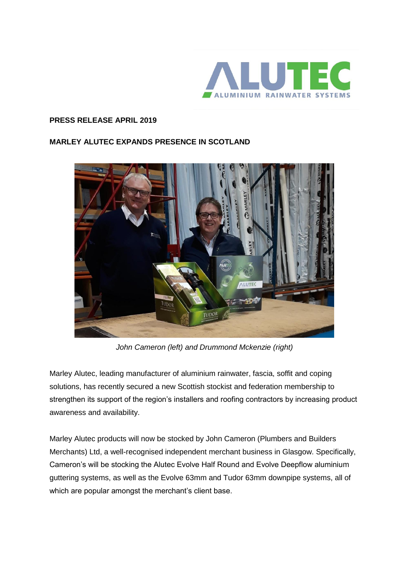

## **PRESS RELEASE APRIL 2019**

## **MARLEY ALUTEC EXPANDS PRESENCE IN SCOTLAND**



*John Cameron (left) and Drummond Mckenzie (right)*

Marley Alutec, leading manufacturer of aluminium rainwater, fascia, soffit and coping solutions, has recently secured a new Scottish stockist and federation membership to strengthen its support of the region's installers and roofing contractors by increasing product awareness and availability.

Marley Alutec products will now be stocked by John Cameron (Plumbers and Builders Merchants) Ltd, a well-recognised independent merchant business in Glasgow. Specifically, Cameron's will be stocking the Alutec Evolve Half Round and Evolve Deepflow aluminium guttering systems, as well as the Evolve 63mm and Tudor 63mm downpipe systems, all of which are popular amongst the merchant's client base.